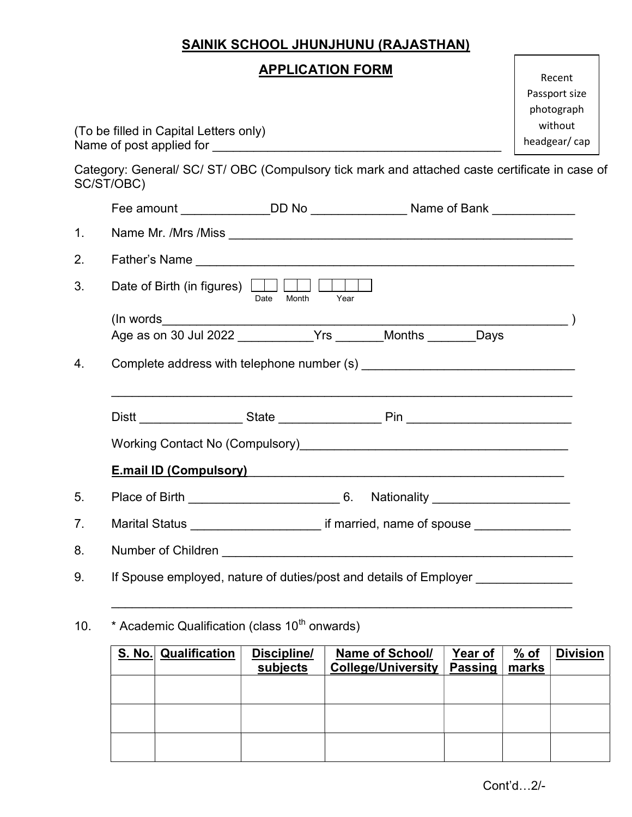## SAINIK SCHOOL JHUNJHUNU (RAJASTHAN)

(To be filled in Capital Letters only) Name of post applied for Category: General/ SC/ ST/ OBC (Compulsory tick mark and attached caste certificate in case of SC/ST/OBC) Fee amount \_\_\_\_\_\_\_\_\_\_\_\_\_\_\_DD No \_\_\_\_\_\_\_\_\_\_\_\_\_\_\_\_Name of Bank \_\_\_\_\_\_\_\_\_\_\_\_\_\_ 1. Name Mr. /Mrs /Miss \_\_\_\_\_\_\_\_\_\_\_\_\_\_\_\_\_\_\_\_\_\_\_\_\_\_\_\_\_\_\_\_\_\_\_\_\_\_\_\_\_\_\_\_\_\_\_\_\_\_ 2. Father's Name **Alternative Contract Contract Contract Contract Contract Contract Contract Contract Contract Contract Contract Contract Contract Contract Contract Contract Contract Contract Contract Contract Contract Con** 3. Date of Birth (in figures) **DESA CONVERTED** Date Month Year  $(\ln\,words)\$ Age as on 30 Jul 2022 \_\_\_\_\_\_\_\_\_\_\_Yrs \_\_\_\_\_\_\_Months \_\_\_\_\_\_\_Days 4. Complete address with telephone number (s) \_\_\_\_\_\_\_\_\_\_\_\_\_\_\_\_\_\_\_\_\_\_\_\_\_\_\_\_\_\_\_\_\_\_  $\overline{\phantom{a}}$  , and the contribution of the contribution of the contribution of the contribution of the contribution of the contribution of the contribution of the contribution of the contribution of the contribution of the Distt \_\_\_\_\_\_\_\_\_\_\_\_\_\_\_ State \_\_\_\_\_\_\_\_\_\_\_\_\_\_\_ Pin \_\_\_\_\_\_\_\_\_\_\_\_\_\_\_\_\_\_\_\_\_\_\_\_ Working Contact No (Compulsory)\_\_\_\_\_\_\_\_\_\_\_\_\_\_\_\_\_\_\_\_\_\_\_\_\_\_\_\_\_\_\_\_\_\_\_\_\_\_\_ E.mail ID (Compulsory)\_\_\_\_\_\_\_\_\_\_\_\_\_\_\_\_\_\_\_\_\_\_\_\_\_\_\_\_\_\_\_\_\_\_\_\_\_\_\_\_\_\_\_\_\_\_ 5. Place of Birth 6. Nationality 7. Marital Status **The Contract of Status** if married, name of spouse 8. Number of Children **Number of Children** 9. If Spouse employed, nature of duties/post and details of Employer **Superstan Employer**  \_\_\_\_\_\_\_\_\_\_\_\_\_\_\_\_\_\_\_\_\_\_\_\_\_\_\_\_\_\_\_\_\_\_\_\_\_\_\_\_\_\_\_\_\_\_\_\_\_\_\_\_\_\_\_\_\_\_\_\_\_\_\_\_\_\_\_ Passport size photograph without headgear/ cap

10.  $*$  Academic Qualification (class 10<sup>th</sup> onwards)

| <b>S. No.</b> | <b>Qualification</b> | Discipline/<br>subjects | <b>Name of School/</b><br><b>College/University</b> | Year of<br><b>Passing</b> | <u>% of</u><br>marks | <b>Division</b> |
|---------------|----------------------|-------------------------|-----------------------------------------------------|---------------------------|----------------------|-----------------|
|               |                      |                         |                                                     |                           |                      |                 |
|               |                      |                         |                                                     |                           |                      |                 |
|               |                      |                         |                                                     |                           |                      |                 |

Recent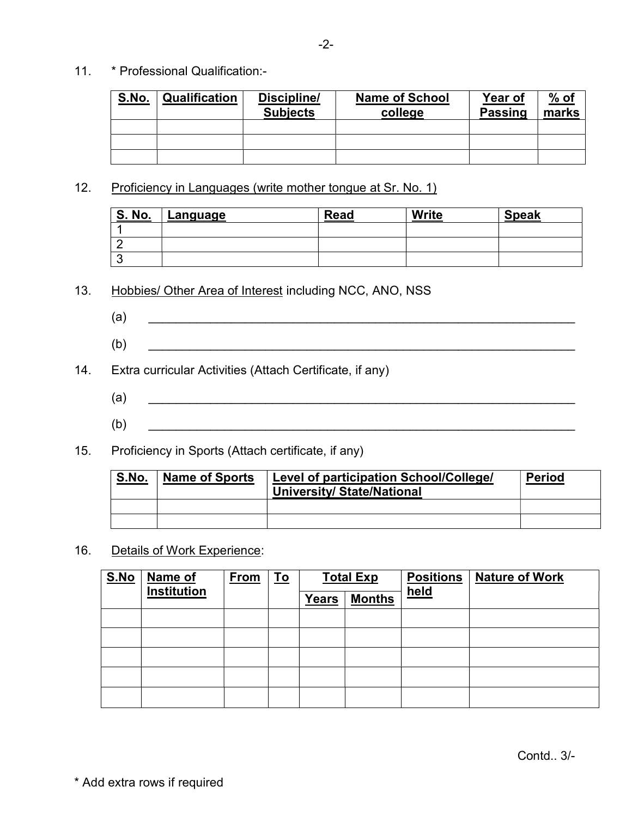11. \* Professional Qualification:-

| S.No. | Qualification | Discipline/<br><b>Subjects</b> | <b>Name of School</b><br>college | Year of<br><b>Passing</b> | $%$ of<br>marks |
|-------|---------------|--------------------------------|----------------------------------|---------------------------|-----------------|
|       |               |                                |                                  |                           |                 |
|       |               |                                |                                  |                           |                 |
|       |               |                                |                                  |                           |                 |

12. Proficiency in Languages (write mother tongue at Sr. No. 1)

| <u>S. No.</u> | Language | <b>Read</b> | <b>Write</b> | <b>Speak</b> |
|---------------|----------|-------------|--------------|--------------|
|               |          |             |              |              |
|               |          |             |              |              |
| ∼             |          |             |              |              |

- 13. Hobbies/ Other Area of Interest including NCC, ANO, NSS
	- $\rm (a)$
	- $(b)$
- 14. Extra curricular Activities (Attach Certificate, if any)
	- $\qquad \qquad \textbf{(a)} \qquad \qquad \textbf{1} \qquad \qquad \textbf{(b)} \qquad \qquad \textbf{(c)} \qquad \qquad \textbf{(d)} \qquad \qquad \textbf{(e)} \qquad \qquad \textbf{(f)} \qquad \qquad \textbf{(g)} \qquad \qquad \textbf{(h)} \qquad \qquad \textbf{(i)} \qquad \qquad \textbf{(i)} \qquad \qquad \textbf{(ii)} \qquad \qquad \textbf{(iii)} \qquad \qquad \textbf{(iv)} \qquad \qquad \textbf{(iv)} \qquad \qquad \textbf{(iv)} \qquad \qquad \textbf{(iv)} \qquad \qquad \textbf{(v)} \qquad \$
- $(b)$   $\qquad \qquad \qquad \qquad$
- 15. Proficiency in Sports (Attach certificate, if any)

| S.No. | <b>Name of Sports</b> | Level of participation School/College/<br>University/ State/National | <b>Period</b> |
|-------|-----------------------|----------------------------------------------------------------------|---------------|
|       |                       |                                                                      |               |
|       |                       |                                                                      |               |

16. Details of Work Experience:

| S.No | Name of     | <b>From</b><br><u>To</u><br><b>Total Exp</b> |  |              | <b>Positions</b> | <b>Nature of Work</b> |  |
|------|-------------|----------------------------------------------|--|--------------|------------------|-----------------------|--|
|      | Institution |                                              |  | <b>Years</b> | <b>Months</b>    | held                  |  |
|      |             |                                              |  |              |                  |                       |  |
|      |             |                                              |  |              |                  |                       |  |
|      |             |                                              |  |              |                  |                       |  |
|      |             |                                              |  |              |                  |                       |  |
|      |             |                                              |  |              |                  |                       |  |

\* Add extra rows if required